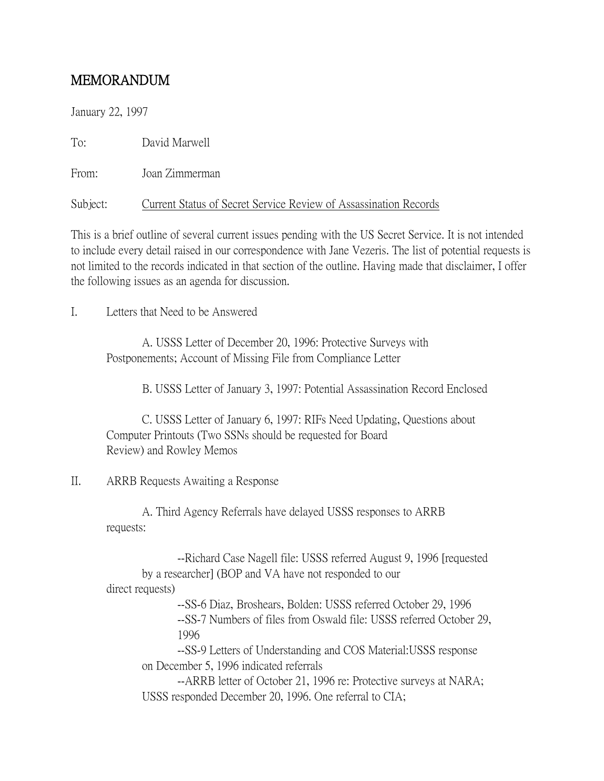## MEMORANDUM

January 22, 1997

To: David Marwell

From: Joan Zimmerman

Subject: Current Status of Secret Service Review of Assassination Records

This is a brief outline of several current issues pending with the US Secret Service. It is not intended to include every detail raised in our correspondence with Jane Vezeris. The list of potential requests is not limited to the records indicated in that section of the outline. Having made that disclaimer, I offer the following issues as an agenda for discussion.

I. **Letters that Need to be Answered** 

A. USSS Letter of December 20, 1996: Protective Surveys with Postponements; Account of Missing File from Compliance Letter

B. USSS Letter of January 3, 1997: Potential Assassination Record Enclosed

C. USSS Letter of January 6, 1997: RIFs Need Updating, Questions about Computer Printouts (Two SSNs should be requested for Board Review) and Rowley Memos

## II. ARRB Requests Awaiting a Response

A. Third Agency Referrals have delayed USSS responses to ARRB requests:

--Richard Case Nagell file: USSS referred August 9, 1996 [requested by a researcher] (BOP and VA have not responded to our direct requests) --SS-6 Diaz, Broshears, Bolden: USSS referred October 29, 1996 --SS-7 Numbers of files from Oswald file: USSS referred October 29, 1996 --SS-9 Letters of Understanding and COS Material:USSS response on December 5, 1996 indicated referrals --ARRB letter of October 21, 1996 re: Protective surveys at NARA; USSS responded December 20, 1996. One referral to CIA;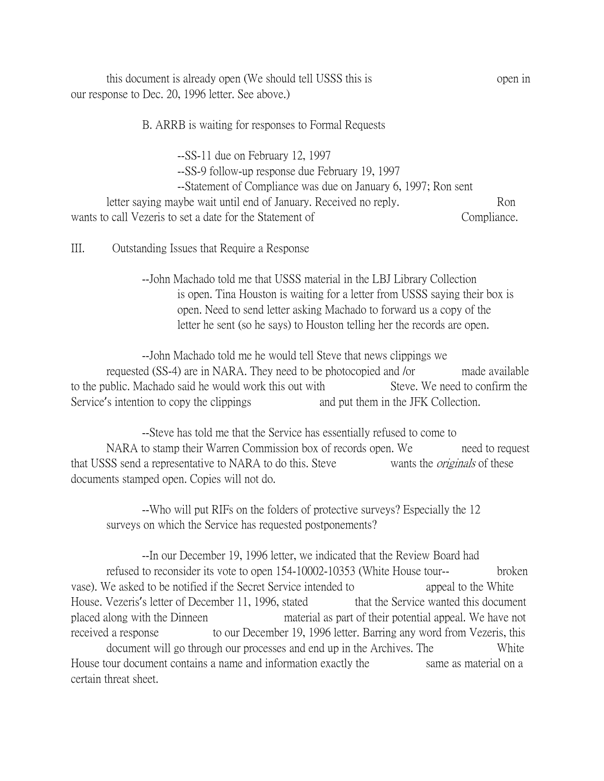this document is already open (We should tell USSS this is open in our response to Dec. 20, 1996 letter. See above.)

B. ARRB is waiting for responses to Formal Requests

--SS-11 due on February 12, 1997

--SS-9 follow-up response due February 19, 1997

--Statement of Compliance was due on January 6, 1997; Ron sent

letter saying maybe wait until end of January. Received no reply. Ron wants to call Vezeris to set a date for the Statement of Compliance.

III. Outstanding Issues that Require a Response

--John Machado told me that USSS material in the LBJ Library Collection is open. Tina Houston is waiting for a letter from USSS saying their box is open. Need to send letter asking Machado to forward us a copy of the letter he sent (so he says) to Houston telling her the records are open.

--John Machado told me he would tell Steve that news clippings we requested (SS-4) are in NARA. They need to be photocopied and /or made available to the public. Machado said he would work this out with Steve. We need to confirm the Service's intention to copy the clippings and put them in the JFK Collection.

--Steve has told me that the Service has essentially refused to come to NARA to stamp their Warren Commission box of records open. We need to request that USSS send a representative to NARA to do this. Steve wants the *originals* of these documents stamped open. Copies will not do.

--Who will put RIFs on the folders of protective surveys? Especially the 12 surveys on which the Service has requested postponements?

--In our December 19, 1996 letter, we indicated that the Review Board had refused to reconsider its vote to open 154-10002-10353 (White House tour-- broken vase). We asked to be notified if the Secret Service intended to appeal to the White House. Vezeris's letter of December 11, 1996, stated that the Service wanted this document placed along with the Dinneen material as part of their potential appeal. We have not received a response to our December 19, 1996 letter. Barring any word from Vezeris, this document will go through our processes and end up in the Archives. The White House tour document contains a name and information exactly the same as material on a certain threat sheet.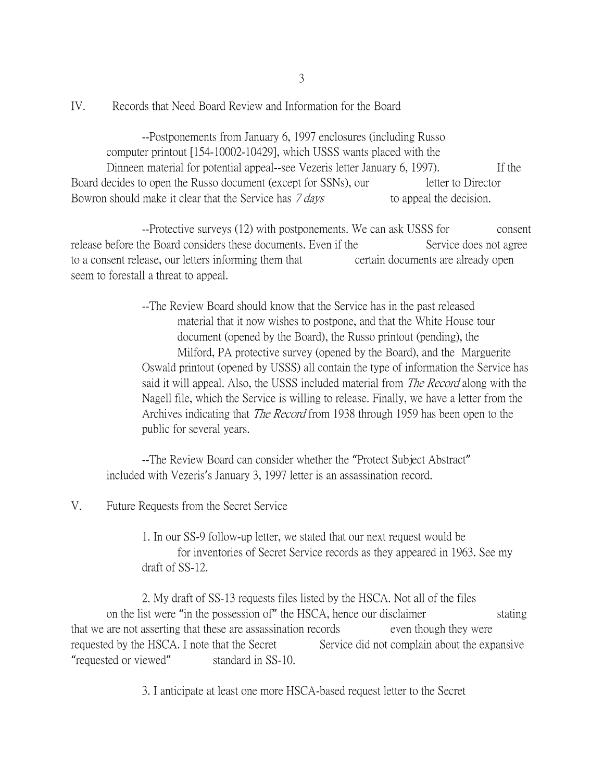IV. Records that Need Board Review and Information for the Board

--Postponements from January 6, 1997 enclosures (including Russo computer printout [154-10002-10429], which USSS wants placed with the Dinneen material for potential appeal--see Vezeris letter January 6, 1997). If the Board decides to open the Russo document (except for SSNs), our letter to Director Bowron should make it clear that the Service has  $7 \, days$  to appeal the decision.

--Protective surveys (12) with postponements. We can ask USSS for consent release before the Board considers these documents. Even if the Service does not agree to a consent release, our letters informing them that certain documents are already open seem to forestall a threat to appeal.

> --The Review Board should know that the Service has in the past released material that it now wishes to postpone, and that the White House tour document (opened by the Board), the Russo printout (pending), the Milford, PA protective survey (opened by the Board), and the Marguerite Oswald printout (opened by USSS) all contain the type of information the Service has said it will appeal. Also, the USSS included material from The Record along with the Nagell file, which the Service is willing to release. Finally, we have a letter from the Archives indicating that The Record from 1938 through 1959 has been open to the public for several years.

--The Review Board can consider whether the "Protect Subject Abstract" included with Vezeris's January 3, 1997 letter is an assassination record.

## V. Future Requests from the Secret Service

1. In our SS-9 follow-up letter, we stated that our next request would be for inventories of Secret Service records as they appeared in 1963. See my draft of SS-12.

2. My draft of SS-13 requests files listed by the HSCA. Not all of the files on the list were "in the possession of" the HSCA, hence our disclaimer stating that we are not asserting that these are assassination records even though they were requested by the HSCA. I note that the Secret Service did not complain about the expansive "requested or viewed" standard in SS-10.

3. I anticipate at least one more HSCA-based request letter to the Secret

3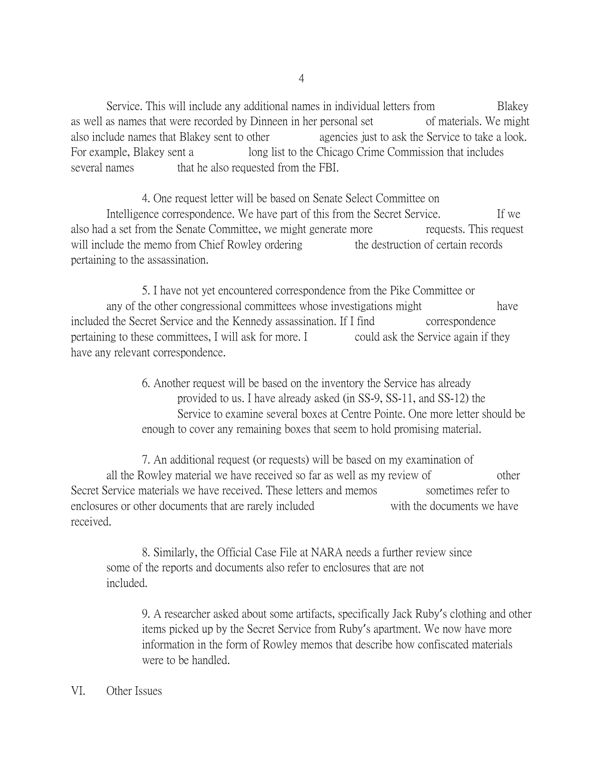Service. This will include any additional names in individual letters from Blakey as well as names that were recorded by Dinneen in her personal set of materials. We might also include names that Blakey sent to other agencies just to ask the Service to take a look. For example, Blakey sent a long list to the Chicago Crime Commission that includes several names that he also requested from the FBI.

4. One request letter will be based on Senate Select Committee on Intelligence correspondence. We have part of this from the Secret Service. If we also had a set from the Senate Committee, we might generate more requests. This request will include the memo from Chief Rowley ordering the destruction of certain records pertaining to the assassination.

5. I have not yet encountered correspondence from the Pike Committee or any of the other congressional committees whose investigations might have included the Secret Service and the Kennedy assassination. If I find correspondence pertaining to these committees, I will ask for more. I could ask the Service again if they have any relevant correspondence.

> 6. Another request will be based on the inventory the Service has already provided to us. I have already asked (in SS-9, SS-11, and SS-12) the Service to examine several boxes at Centre Pointe. One more letter should be enough to cover any remaining boxes that seem to hold promising material.

7. An additional request (or requests) will be based on my examination of all the Rowley material we have received so far as well as my review of other Secret Service materials we have received. These letters and memos sometimes refer to enclosures or other documents that are rarely included with the documents we have received.

8. Similarly, the Official Case File at NARA needs a further review since some of the reports and documents also refer to enclosures that are not included.

9. A researcher asked about some artifacts, specifically Jack Ruby's clothing and other items picked up by the Secret Service from Ruby's apartment. We now have more information in the form of Rowley memos that describe how confiscated materials were to be handled.

## VI. Other Issues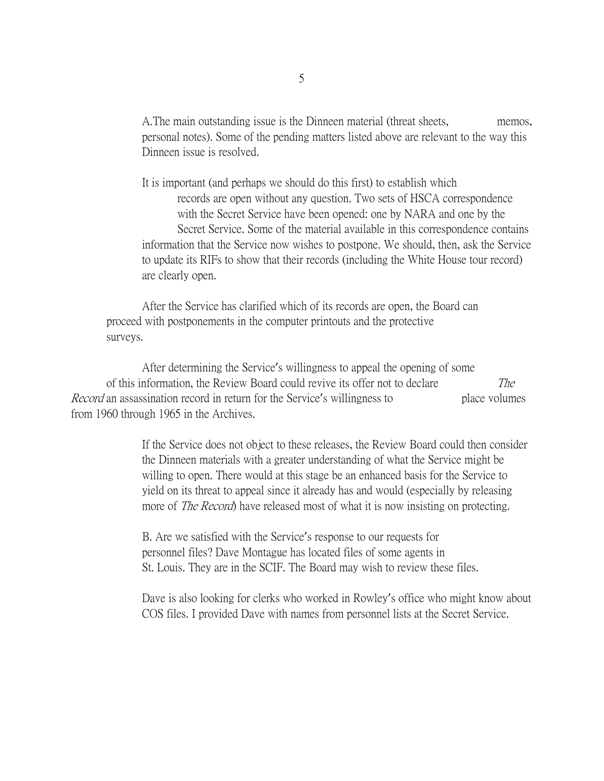A.The main outstanding issue is the Dinneen material (threat sheets, memos, personal notes). Some of the pending matters listed above are relevant to the way this Dinneen issue is resolved.

It is important (and perhaps we should do this first) to establish which records are open without any question. Two sets of HSCA correspondence with the Secret Service have been opened: one by NARA and one by the Secret Service. Some of the material available in this correspondence contains information that the Service now wishes to postpone. We should, then, ask the Service to update its RIFs to show that their records (including the White House tour record) are clearly open.

After the Service has clarified which of its records are open, the Board can proceed with postponements in the computer printouts and the protective surveys.

After determining the Service's willingness to appeal the opening of some of this information, the Review Board could revive its offer not to declare The Record an assassination record in return for the Service's willingness to place volumes from 1960 through 1965 in the Archives.

> If the Service does not object to these releases, the Review Board could then consider the Dinneen materials with a greater understanding of what the Service might be willing to open. There would at this stage be an enhanced basis for the Service to yield on its threat to appeal since it already has and would (especially by releasing more of *The Record*) have released most of what it is now insisting on protecting.

B. Are we satisfied with the Service's response to our requests for personnel files? Dave Montague has located files of some agents in St. Louis. They are in the SCIF. The Board may wish to review these files.

Dave is also looking for clerks who worked in Rowley's office who might know about COS files. I provided Dave with names from personnel lists at the Secret Service.